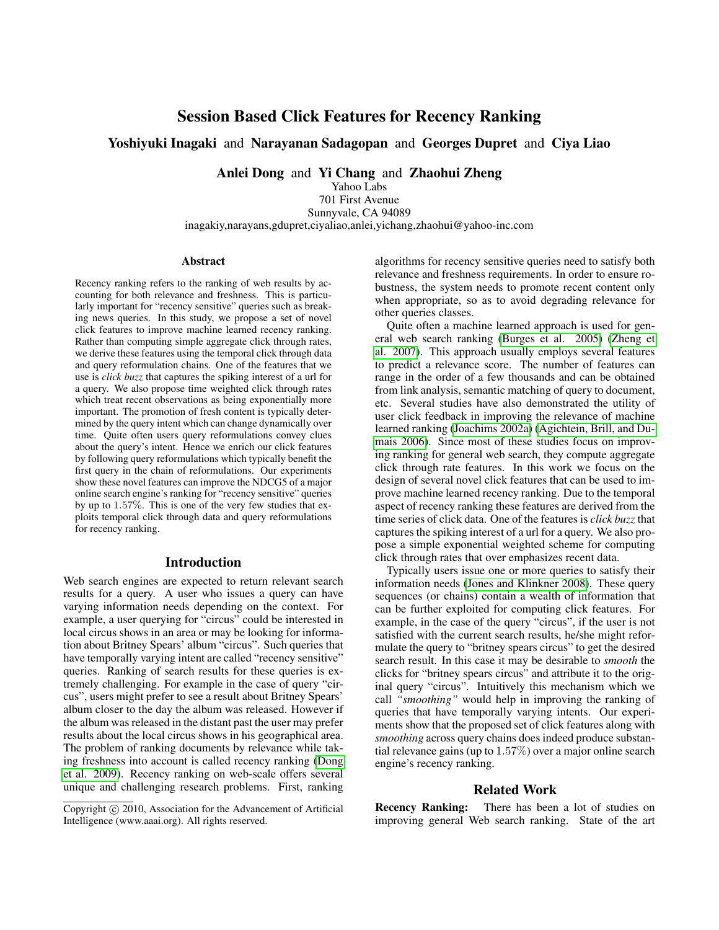# Session Based Click Features for Recency Ranking

# Yoshiyuki Inagaki and Narayanan Sadagopan and Georges Dupret and Ciya Liao

Anlei Dong and Yi Chang and Zhaohui Zheng

Yahoo Labs 701 First Avenue Sunnyvale, CA 94089 inagakiy,narayans,gdupret,ciyaliao,anlei,yichang,zhaohui@yahoo-inc.com

#### Abstract

Recency ranking refers to the ranking of web results by accounting for both relevance and freshness. This is particularly important for "recency sensitive" queries such as breaking news queries. In this study, we propose a set of novel click features to improve machine learned recency ranking. Rather than computing simple aggregate click through rates, we derive these features using the temporal click through data and query reformulation chains. One of the features that we use is *click buzz* that captures the spiking interest of a url for a query. We also propose time weighted click through rates which treat recent observations as being exponentially more important. The promotion of fresh content is typically determined by the query intent which can change dynamically over time. Quite often users query reformulations convey clues about the query's intent. Hence we enrich our click features by following query reformulations which typically benefit the first query in the chain of reformulations. Our experiments show these novel features can improve the NDCG5 of a major online search engine's ranking for "recency sensitive" queries by up to 1.57%. This is one of the very few studies that exploits temporal click through data and query reformulations for recency ranking.

#### Introduction

Web search engines are expected to return relevant search results for a query. A user who issues a query can have varying information needs depending on the context. For example, a user querying for "circus" could be interested in local circus shows in an area or may be looking for information about Britney Spears' album "circus". Such queries that have temporally varying intent are called "recency sensitive" queries. Ranking of search results for these queries is extremely challenging. For example in the case of query "circus", users might prefer to see a result about Britney Spears' album closer to the day the album was released. However if the album was released in the distant past the user may prefer results about the local circus shows in his geographical area. The problem of ranking documents by relevance while taking freshness into account is called recency ranking [\(Dong](#page-5-0) [et al. 2009\)](#page-5-0). Recency ranking on web-scale offers several unique and challenging research problems. First, ranking

algorithms for recency sensitive queries need to satisfy both relevance and freshness requirements. In order to ensure robustness, the system needs to promote recent content only when appropriate, so as to avoid degrading relevance for other queries classes.

Quite often a machine learned approach is used for general web search ranking [\(Burges et al. 2005\)](#page-5-1) [\(Zheng et](#page-5-2) [al. 2007\)](#page-5-2). This approach usually employs several features to predict a relevance score. The number of features can range in the order of a few thousands and can be obtained from link analysis, semantic matching of query to document, etc. Several studies have also demonstrated the utility of user click feedback in improving the relevance of machine learned ranking [\(Joachims 2002a\)](#page-5-3) [\(Agichtein, Brill, and Du](#page-5-4)[mais 2006\)](#page-5-4). Since most of these studies focus on improving ranking for general web search, they compute aggregate click through rate features. In this work we focus on the design of several novel click features that can be used to improve machine learned recency ranking. Due to the temporal aspect of recency ranking these features are derived from the time series of click data. One of the features is *click buzz* that captures the spiking interest of a url for a query. We also propose a simple exponential weighted scheme for computing click through rates that over emphasizes recent data.

Typically users issue one or more queries to satisfy their information needs [\(Jones and Klinkner 2008\)](#page-5-5). These query sequences (or chains) contain a wealth of information that can be further exploited for computing click features. For example, in the case of the query "circus", if the user is not satisfied with the current search results, he/she might reformulate the query to "britney spears circus" to get the desired search result. In this case it may be desirable to *smooth* the clicks for "britney spears circus" and attribute it to the original query "circus". Intuitively this mechanism which we call *"smoothing"* would help in improving the ranking of queries that have temporally varying intents. Our experiments show that the proposed set of click features along with *smoothing* across query chains does indeed produce substantial relevance gains (up to  $1.57\%$ ) over a major online search engine's recency ranking.

# Related Work

Recency Ranking: There has been a lot of studies on improving general Web search ranking. State of the art

Copyright  $\odot$  2010, Association for the Advancement of Artificial Intelligence (www.aaai.org). All rights reserved.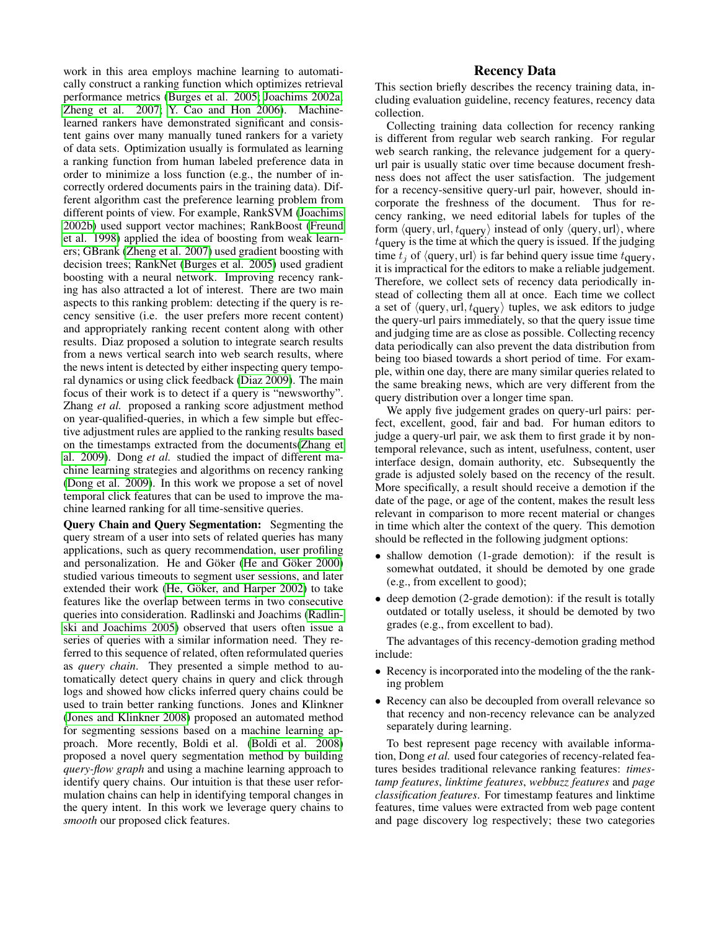This section briefly describes the recency training data, including evaluation guideline, recency features, recency data collection.

Collecting training data collection for recency ranking is different from regular web search ranking. For regular web search ranking, the relevance judgement for a queryurl pair is usually static over time because document freshness does not affect the user satisfaction. The judgement for a recency-sensitive query-url pair, however, should incorporate the freshness of the document. Thus for recency ranking, we need editorial labels for tuples of the form  $\langle$ query, url,  $t$ <sub>query</sub> $\rangle$  instead of only  $\langle$ query, url $\rangle$ , where  $t<sub>query</sub>$  is the time at which the query is issued. If the judging time  $t_i$  of  $\langle \text{query}, \text{url} \rangle$  is far behind query issue time  $t_{\text{query}}$ , it is impractical for the editors to make a reliable judgement. Therefore, we collect sets of recency data periodically instead of collecting them all at once. Each time we collect a set of  $\langle$ query, url,  $t_{\text{query}}\rangle$  tuples, we ask editors to judge the query-url pairs immediately, so that the query issue time and judging time are as close as possible. Collecting recency data periodically can also prevent the data distribution from being too biased towards a short period of time. For example, within one day, there are many similar queries related to the same breaking news, which are very different from the query distribution over a longer time span.

We apply five judgement grades on query-url pairs: perfect, excellent, good, fair and bad. For human editors to judge a query-url pair, we ask them to first grade it by nontemporal relevance, such as intent, usefulness, content, user interface design, domain authority, etc. Subsequently the grade is adjusted solely based on the recency of the result. More specifically, a result should receive a demotion if the date of the page, or age of the content, makes the result less relevant in comparison to more recent material or changes in time which alter the context of the query. This demotion should be reflected in the following judgment options:

- shallow demotion (1-grade demotion): if the result is somewhat outdated, it should be demoted by one grade (e.g., from excellent to good);
- deep demotion (2-grade demotion): if the result is totally outdated or totally useless, it should be demoted by two grades (e.g., from excellent to bad).

The advantages of this recency-demotion grading method include:

- Recency is incorporated into the modeling of the the ranking problem
- Recency can also be decoupled from overall relevance so that recency and non-recency relevance can be analyzed separately during learning.

To best represent page recency with available information, Dong *et al.* used four categories of recency-related features besides traditional relevance ranking features: *timestamp features*, *linktime features*, *webbuzz features* and *page classification features*. For timestamp features and linktime features, time values were extracted from web page content and page discovery log respectively; these two categories

work in this area employs machine learning to automatically construct a ranking function which optimizes retrieval performance metrics [\(Burges et al. 2005;](#page-5-1) [Joachims 2002a;](#page-5-3) [Zheng et al. 2007;](#page-5-2) [Y. Cao and Hon 2006\)](#page-5-6). Machinelearned rankers have demonstrated significant and consistent gains over many manually tuned rankers for a variety of data sets. Optimization usually is formulated as learning a ranking function from human labeled preference data in order to minimize a loss function (e.g., the number of incorrectly ordered documents pairs in the training data). Different algorithm cast the preference learning problem from different points of view. For example, RankSVM [\(Joachims](#page-5-7) [2002b\)](#page-5-7) used support vector machines; RankBoost [\(Freund](#page-5-8) [et al. 1998\)](#page-5-8) applied the idea of boosting from weak learners; GBrank [\(Zheng et al. 2007\)](#page-5-2) used gradient boosting with decision trees; RankNet [\(Burges et al. 2005\)](#page-5-1) used gradient boosting with a neural network. Improving recency ranking has also attracted a lot of interest. There are two main aspects to this ranking problem: detecting if the query is recency sensitive (i.e. the user prefers more recent content) and appropriately ranking recent content along with other results. Diaz proposed a solution to integrate search results from a news vertical search into web search results, where the news intent is detected by either inspecting query temporal dynamics or using click feedback [\(Diaz 2009\)](#page-5-9). The main focus of their work is to detect if a query is "newsworthy". Zhang *et al.* proposed a ranking score adjustment method on year-qualified-queries, in which a few simple but effective adjustment rules are applied to the ranking results based on the timestamps extracted from the documents[\(Zhang et](#page-5-10) [al. 2009\)](#page-5-10). Dong *et al.* studied the impact of different machine learning strategies and algorithms on recency ranking [\(Dong et al. 2009\)](#page-5-0). In this work we propose a set of novel temporal click features that can be used to improve the machine learned ranking for all time-sensitive queries.

Query Chain and Query Segmentation: Segmenting the query stream of a user into sets of related queries has many applications, such as query recommendation, user profiling and personalization. He and Göker (He and Göker 2000) studied various timeouts to segment user sessions, and later extended their work (He, Göker, and Harper 2002) to take features like the overlap between terms in two consecutive queries into consideration. Radlinski and Joachims [\(Radlin](#page-5-13)[ski and Joachims 2005\)](#page-5-13) observed that users often issue a series of queries with a similar information need. They referred to this sequence of related, often reformulated queries as *query chain*. They presented a simple method to automatically detect query chains in query and click through logs and showed how clicks inferred query chains could be used to train better ranking functions. Jones and Klinkner [\(Jones and Klinkner 2008\)](#page-5-5) proposed an automated method for segmenting sessions based on a machine learning approach. More recently, Boldi et al. [\(Boldi et al. 2008\)](#page-5-14) proposed a novel query segmentation method by building *query-flow graph* and using a machine learning approach to identify query chains. Our intuition is that these user reformulation chains can help in identifying temporal changes in the query intent. In this work we leverage query chains to *smooth* our proposed click features.

### Recency Data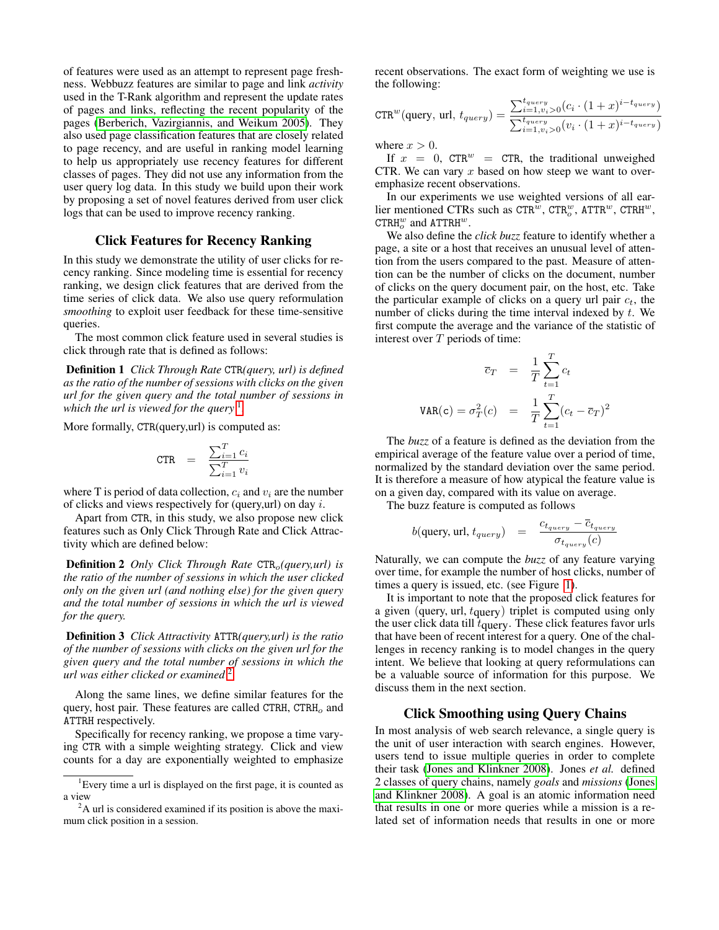of features were used as an attempt to represent page freshness. Webbuzz features are similar to page and link *activity* used in the T-Rank algorithm and represent the update rates of pages and links, reflecting the recent popularity of the pages [\(Berberich, Vazirgiannis, and Weikum 2005\)](#page-5-15). They also used page classification features that are closely related to page recency, and are useful in ranking model learning to help us appropriately use recency features for different classes of pages. They did not use any information from the user query log data. In this study we build upon their work by proposing a set of novel features derived from user click logs that can be used to improve recency ranking.

# Click Features for Recency Ranking

In this study we demonstrate the utility of user clicks for recency ranking. Since modeling time is essential for recency ranking, we design click features that are derived from the time series of click data. We also use query reformulation *smoothing* to exploit user feedback for these time-sensitive queries.

The most common click feature used in several studies is click through rate that is defined as follows:

Definition 1 *Click Through Rate* CTR*(query, url) is defined as the ratio of the number of sessions with clicks on the given url for the given query and the total number of sessions in* which the url is viewed for the query <sup>[1](#page-2-0)</sup>.

More formally, CTR(query,url) is computed as:

$$
\text{CTR} = \frac{\sum_{i=1}^{T} c_i}{\sum_{i=1}^{T} v_i}
$$

where T is period of data collection,  $c_i$  and  $v_i$  are the number of clicks and views respectively for (query,url) on day  $i$ .

Apart from CTR, in this study, we also propose new click features such as Only Click Through Rate and Click Attractivity which are defined below:

**Definition 2** *Only Click Through Rate* CTR<sub>o</sub>(query,url) is *the ratio of the number of sessions in which the user clicked only on the given url (and nothing else) for the given query and the total number of sessions in which the url is viewed for the query.*

Definition 3 *Click Attractivity* ATTR*(query,url) is the ratio of the number of sessions with clicks on the given url for the given query and the total number of sessions in which the url was either clicked or examined* [2](#page-2-1)

Along the same lines, we define similar features for the query, host pair. These features are called CTRH,  $\text{CTRH}_o$  and ATTRH respectively.

Specifically for recency ranking, we propose a time varying CTR with a simple weighting strategy. Click and view counts for a day are exponentially weighted to emphasize recent observations. The exact form of weighting we use is the following:

$$
CTR^{w}(\text{query}, \text{url}, t_{query}) = \frac{\sum_{i=1, v_i>0}^{t_{query}} (c_i \cdot (1+x)^{i-t_{query}})}{\sum_{i=1, v_i>0}^{t_{query}} (v_i \cdot (1+x)^{i-t_{query}})}
$$

where  $x > 0$ .

If  $x = 0$ , CTR<sup>w</sup> = CTR, the traditional unweighed CTR. We can vary  $x$  based on how steep we want to overemphasize recent observations.

In our experiments we use weighted versions of all earlier mentioned CTRs such as  $\texttt{CTR}^w$ ,  $\texttt{CTR}^w$ ,  $\texttt{ATTR}^w$ ,  $\texttt{CTR}^w$ ,  $\text{CTRH}^w_o$  and  $\text{ATTRH}^w$ .

We also define the *click buzz* feature to identify whether a page, a site or a host that receives an unusual level of attention from the users compared to the past. Measure of attention can be the number of clicks on the document, number of clicks on the query document pair, on the host, etc. Take the particular example of clicks on a query url pair  $c_t$ , the number of clicks during the time interval indexed by t. We first compute the average and the variance of the statistic of interest over  $T$  periods of time:

$$
\overline{c}_T = \frac{1}{T} \sum_{t=1}^T c_t
$$
  

$$
\text{VAR}(\mathbf{c}) = \sigma_T^2(c) = \frac{1}{T} \sum_{t=1}^T (c_t - \overline{c}_T)^2
$$

The *buzz* of a feature is defined as the deviation from the empirical average of the feature value over a period of time, normalized by the standard deviation over the same period. It is therefore a measure of how atypical the feature value is on a given day, compared with its value on average.

The buzz feature is computed as follows

$$
b(\text{query, url}, t_{query}) = \frac{c_{t_{query}} - \overline{c}_{t_{query}}}{\sigma_{t_{query}}(c)}
$$

Naturally, we can compute the *buzz* of any feature varying over time, for example the number of host clicks, number of times a query is issued, etc. (see Figure [1\)](#page-3-0).

It is important to note that the proposed click features for a given (query, url,  $t_{\text{query}}$ ) triplet is computed using only the user click data till  $t_{\text{query}}$ . These click features favor urls that have been of recent interest for a query. One of the challenges in recency ranking is to model changes in the query intent. We believe that looking at query reformulations can be a valuable source of information for this purpose. We discuss them in the next section.

## Click Smoothing using Query Chains

In most analysis of web search relevance, a single query is the unit of user interaction with search engines. However, users tend to issue multiple queries in order to complete their task [\(Jones and Klinkner 2008\)](#page-5-5). Jones *et al.* defined 2 classes of query chains, namely *goals* and *missions* [\(Jones](#page-5-5) [and Klinkner 2008\)](#page-5-5). A goal is an atomic information need that results in one or more queries while a mission is a related set of information needs that results in one or more

<span id="page-2-0"></span><sup>&</sup>lt;sup>1</sup>Every time a url is displayed on the first page, it is counted as a view

<span id="page-2-1"></span><sup>&</sup>lt;sup>2</sup>A url is considered examined if its position is above the maximum click position in a session.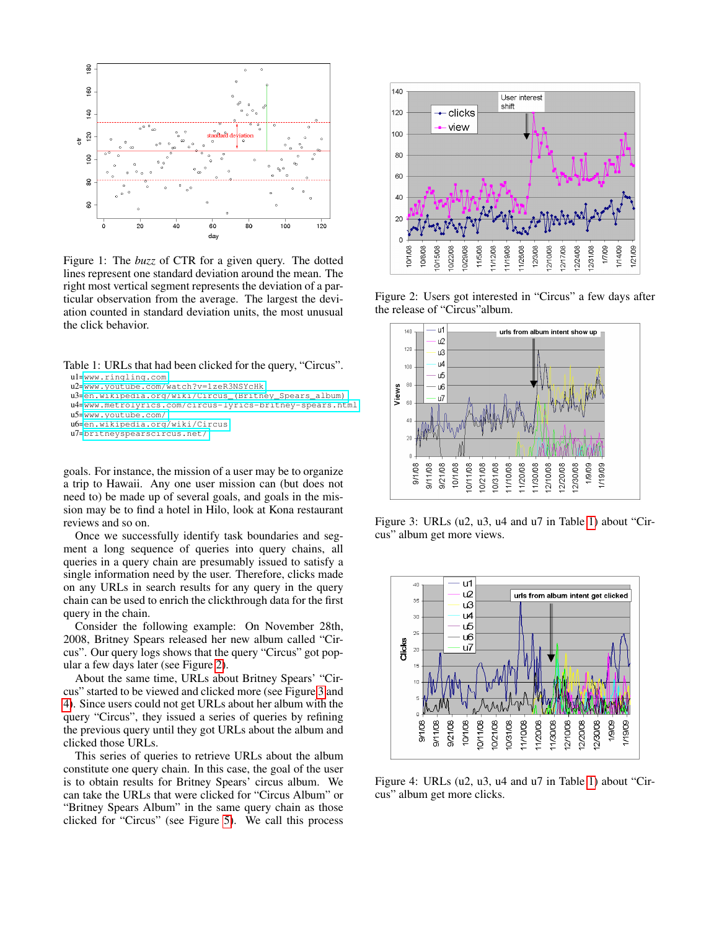

<span id="page-3-0"></span>Figure 1: The *buzz* of CTR for a given query. The dotted lines represent one standard deviation around the mean. The right most vertical segment represents the deviation of a particular observation from the average. The largest the deviation counted in standard deviation units, the most unusual the click behavior.

Table 1: URLs that had been clicked for the query, "Circus".

```
u1=www.ringling.com
u2=www.youtube.com/watch?v=1zeR3NSYcHk
u3=en.wikipedia.org/wiki/Circus_(Britney_Spears_album)
u4=www.metrolyrics.com/circus-lyrics-britney-spears.html
u5=www.youtube.com/
u6=en.wikipedia.org/wiki/Circus
u7=britneyspearscircus.net/
```
goals. For instance, the mission of a user may be to organize a trip to Hawaii. Any one user mission can (but does not need to) be made up of several goals, and goals in the mission may be to find a hotel in Hilo, look at Kona restaurant reviews and so on.

Once we successfully identify task boundaries and segment a long sequence of queries into query chains, all queries in a query chain are presumably issued to satisfy a single information need by the user. Therefore, clicks made on any URLs in search results for any query in the query chain can be used to enrich the clickthrough data for the first query in the chain.

Consider the following example: On November 28th, 2008, Britney Spears released her new album called "Circus". Our query logs shows that the query "Circus" got popular a few days later (see Figure [2\)](#page-3-1).

About the same time, URLs about Britney Spears' "Circus" started to be viewed and clicked more (see Figure [3](#page-3-2) and [4\)](#page-3-3). Since users could not get URLs about her album with the query "Circus", they issued a series of queries by refining the previous query until they got URLs about the album and clicked those URLs.

This series of queries to retrieve URLs about the album constitute one query chain. In this case, the goal of the user is to obtain results for Britney Spears' circus album. We can take the URLs that were clicked for "Circus Album" or "Britney Spears Album" in the same query chain as those clicked for "Circus" (see Figure [5\)](#page-4-0). We call this process



Figure 2: Users got interested in "Circus" a few days after the release of "Circus"album.

<span id="page-3-1"></span>

<span id="page-3-2"></span>Figure 3: URLs (u2, u3, u4 and u7 in Table [1\)](#page-3-4) about "Circus" album get more views.



<span id="page-3-3"></span>Figure 4: URLs (u2, u3, u4 and u7 in Table [1\)](#page-3-4) about "Circus" album get more clicks.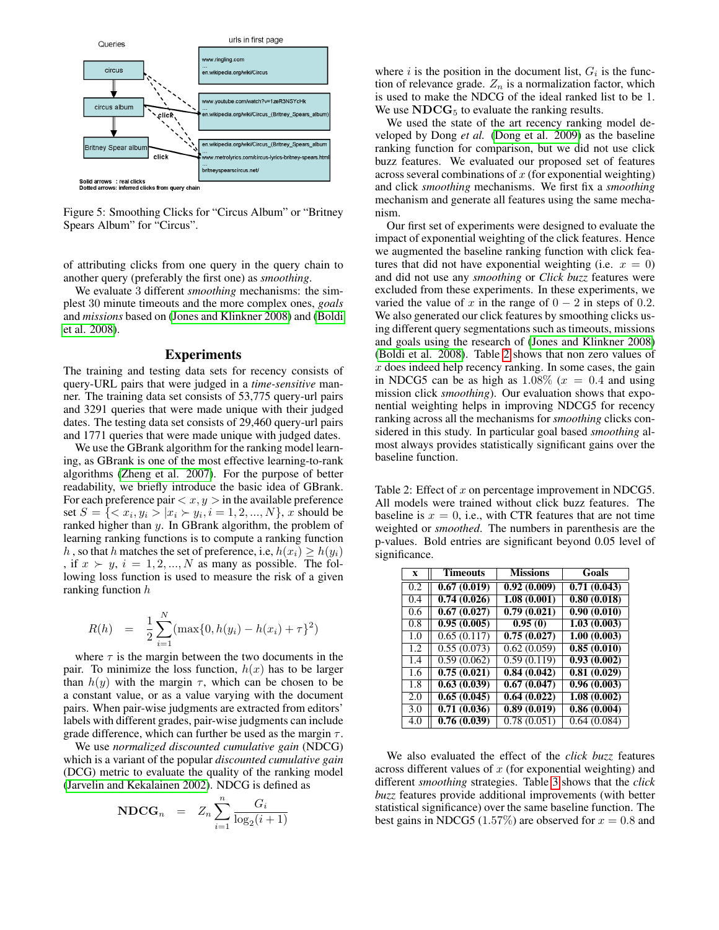

<span id="page-4-0"></span>Figure 5: Smoothing Clicks for "Circus Album" or "Britney Spears Album" for "Circus".

of attributing clicks from one query in the query chain to another query (preferably the first one) as *smoothing*.

We evaluate 3 different *smoothing* mechanisms: the simplest 30 minute timeouts and the more complex ones, *goals* and *missions* based on [\(Jones and Klinkner 2008\)](#page-5-5) and [\(Boldi](#page-5-14) [et al. 2008\)](#page-5-14).

### Experiments

The training and testing data sets for recency consists of query-URL pairs that were judged in a *time-sensitive* manner. The training data set consists of 53,775 query-url pairs and 3291 queries that were made unique with their judged dates. The testing data set consists of 29,460 query-url pairs and 1771 queries that were made unique with judged dates.

We use the GBrank algorithm for the ranking model learning, as GBrank is one of the most effective learning-to-rank algorithms [\(Zheng et al. 2007\)](#page-5-2). For the purpose of better readability, we briefly introduce the basic idea of GBrank. For each preference pair  $\langle x, y \rangle$  in the available preference set  $S = \{ \langle x_i, y_i \rangle | x_i \rangle | y_i, i = 1, 2, ..., N \}, x$  should be ranked higher than y. In GBrank algorithm, the problem of learning ranking functions is to compute a ranking function h, so that h matches the set of preference, i.e,  $h(x_i) \geq h(y_i)$ , if  $x \succ y$ ,  $i = 1, 2, ..., N$  as many as possible. The following loss function is used to measure the risk of a given ranking function h

$$
R(h) = \frac{1}{2} \sum_{i=1}^{N} (\max\{0, h(y_i) - h(x_i) + \tau\}^2)
$$

where  $\tau$  is the margin between the two documents in the pair. To minimize the loss function,  $h(x)$  has to be larger than  $h(y)$  with the margin  $\tau$ , which can be chosen to be a constant value, or as a value varying with the document pairs. When pair-wise judgments are extracted from editors' labels with different grades, pair-wise judgments can include grade difference, which can further be used as the margin  $\tau$ .

We use *normalized discounted cumulative gain* (NDCG) which is a variant of the popular *discounted cumulative gain* (DCG) metric to evaluate the quality of the ranking model [\(Jarvelin and Kekalainen 2002\)](#page-5-16). NDCG is defined as

$$
\text{NDCG}_n = Z_n \sum_{i=1}^n \frac{G_i}{\log_2(i+1)}
$$

where  $i$  is the position in the document list,  $G_i$  is the function of relevance grade.  $Z_n$  is a normalization factor, which is used to make the NDCG of the ideal ranked list to be 1. We use  $NDCG<sub>5</sub>$  to evaluate the ranking results.

We used the state of the art recency ranking model developed by Dong *et al.* [\(Dong et al. 2009\)](#page-5-0) as the baseline ranking function for comparison, but we did not use click buzz features. We evaluated our proposed set of features across several combinations of  $x$  (for exponential weighting) and click *smoothing* mechanisms. We first fix a *smoothing* mechanism and generate all features using the same mechanism.

Our first set of experiments were designed to evaluate the impact of exponential weighting of the click features. Hence we augmented the baseline ranking function with click features that did not have exponential weighting (i.e.  $x = 0$ ) and did not use any *smoothing* or *Click buzz* features were excluded from these experiments. In these experiments, we varied the value of x in the range of  $0 - 2$  in steps of 0.2. We also generated our click features by smoothing clicks using different query segmentations such as timeouts, missions and goals using the research of [\(Jones and Klinkner 2008\)](#page-5-5) [\(Boldi et al. 2008\)](#page-5-14). Table [2](#page-4-1) shows that non zero values of  $x$  does indeed help recency ranking. In some cases, the gain in NDCG5 can be as high as  $1.08\%$  ( $x = 0.4$  and using mission click *smoothing*). Our evaluation shows that exponential weighting helps in improving NDCG5 for recency ranking across all the mechanisms for *smoothing* clicks considered in this study. In particular goal based *smoothing* almost always provides statistically significant gains over the baseline function.

<span id="page-4-1"></span>Table 2: Effect of  $x$  on percentage improvement in NDCG5. All models were trained without click buzz features. The baseline is  $x = 0$ , i.e., with CTR features that are not time weighted or *smoothed*. The numbers in parenthesis are the p-values. Bold entries are significant beyond 0.05 level of significance.

| X                | <b>Timeouts</b> | <b>Missions</b>          | Goals       |
|------------------|-----------------|--------------------------|-------------|
| 0.2              | 0.67(0.019)     | 0.92(0.009)              | 0.71(0.043) |
| 0.4              | 0.74(0.026)     | 1.08(0.001)              | 0.80(0.018) |
| $\overline{0.6}$ | 0.67(0.027)     | 0.79(0.021)              | 0.90(0.010) |
| 0.8              | 0.95(0.005)     | 0.95(0)                  | 1.03(0.003) |
| 1.0              | 0.65(0.117)     | $\overline{0.75(0.027)}$ | 1.00(0.003) |
| 1.2              | 0.55(0.073)     | 0.62(0.059)              | 0.85(0.010) |
| 1.4              | 0.59(0.062)     | 0.59(0.119)              | 0.93(0.002) |
| 1.6              | 0.75(0.021)     | 0.84(0.042)              | 0.81(0.029) |
| 1.8              | 0.63(0.039)     | 0.67(0.047)              | 0.96(0.003) |
| 2.0              | 0.65(0.045)     | 0.64(0.022)              | 1.08(0.002) |
| 3.0              | 0.71(0.036)     | 0.89(0.019)              | 0.86(0.004) |
| 4.0              | 0.76(0.039)     | 0.78(0.051)              | 0.64(0.084) |

We also evaluated the effect of the *click buzz* features across different values of  $x$  (for exponential weighting) and different *smoothing* strategies. Table [3](#page-5-17) shows that the *click buzz* features provide additional improvements (with better statistical significance) over the same baseline function. The best gains in NDCG5 (1.57%) are observed for  $x = 0.8$  and